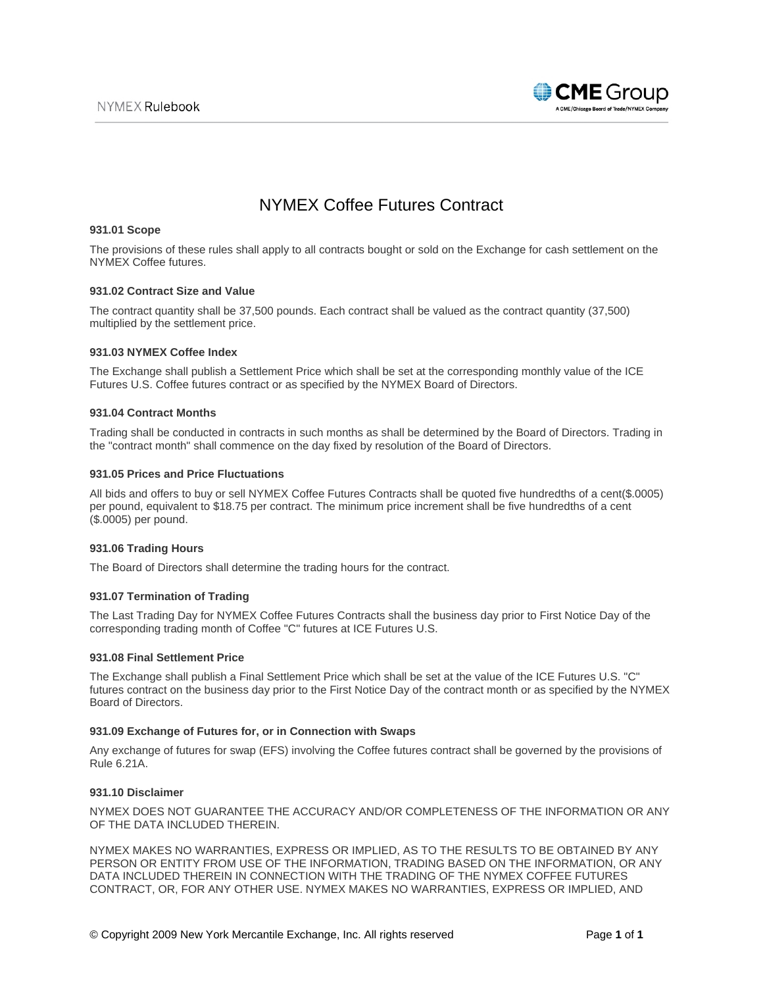

# NYMEX Coffee Futures Contract

## **931.01 Scope**

The provisions of these rules shall apply to all contracts bought or sold on the Exchange for cash settlement on the NYMEX Coffee futures.

## **931.02 Contract Size and Value**

The contract quantity shall be 37,500 pounds. Each contract shall be valued as the contract quantity (37,500) multiplied by the settlement price.

## **931.03 NYMEX Coffee Index**

The Exchange shall publish a Settlement Price which shall be set at the corresponding monthly value of the ICE Futures U.S. Coffee futures contract or as specified by the NYMEX Board of Directors.

## **931.04 Contract Months**

Trading shall be conducted in contracts in such months as shall be determined by the Board of Directors. Trading in the "contract month" shall commence on the day fixed by resolution of the Board of Directors.

# **931.05 Prices and Price Fluctuations**

All bids and offers to buy or sell NYMEX Coffee Futures Contracts shall be quoted five hundredths of a cent(\$.0005) per pound, equivalent to \$18.75 per contract. The minimum price increment shall be five hundredths of a cent (\$.0005) per pound.

# **931.06 Trading Hours**

The Board of Directors shall determine the trading hours for the contract.

# **931.07 Termination of Trading**

The Last Trading Day for NYMEX Coffee Futures Contracts shall the business day prior to First Notice Day of the corresponding trading month of Coffee "C" futures at ICE Futures U.S.

#### **931.08 Final Settlement Price**

The Exchange shall publish a Final Settlement Price which shall be set at the value of the ICE Futures U.S. "C" futures contract on the business day prior to the First Notice Day of the contract month or as specified by the NYMEX Board of Directors.

## **931.09 Exchange of Futures for, or in Connection with Swaps**

Any exchange of futures for swap (EFS) involving the Coffee futures contract shall be governed by the provisions of Rule 6.21A.

#### **931.10 Disclaimer**

NYMEX DOES NOT GUARANTEE THE ACCURACY AND/OR COMPLETENESS OF THE INFORMATION OR ANY OF THE DATA INCLUDED THEREIN.

NYMEX MAKES NO WARRANTIES, EXPRESS OR IMPLIED, AS TO THE RESULTS TO BE OBTAINED BY ANY PERSON OR ENTITY FROM USE OF THE INFORMATION, TRADING BASED ON THE INFORMATION, OR ANY DATA INCLUDED THEREIN IN CONNECTION WITH THE TRADING OF THE NYMEX COFFEE FUTURES CONTRACT, OR, FOR ANY OTHER USE. NYMEX MAKES NO WARRANTIES, EXPRESS OR IMPLIED, AND